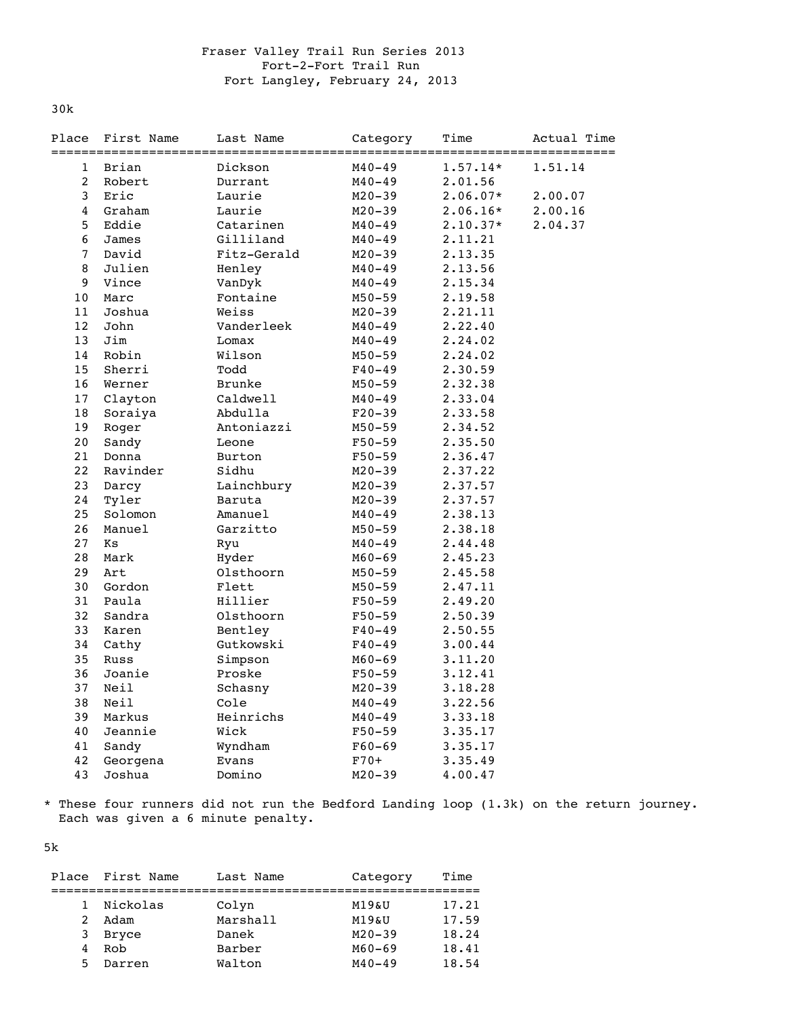## Fraser Valley Trail Run Series 2013 Fort-2-Fort Trail Run Fort Langley, February 24, 2013

30k

| Place           | First Name | Last Name     | Category   | Time       | Actual Time<br>========= |
|-----------------|------------|---------------|------------|------------|--------------------------|
| 1               | Brian      | Dickson       | $M40 - 49$ | $1.57.14*$ | 1.51.14                  |
| $\overline{c}$  | Robert     | Durrant       | $M40 - 49$ | 2.01.56    |                          |
| 3               | Eric       | Laurie        | $M20 - 39$ | $2.06.07*$ | 2.00.07                  |
| $\overline{4}$  | Graham     | Laurie        | $M20 - 39$ | $2.06.16*$ | 2.00.16                  |
| 5               | Eddie      | Catarinen     | $M40 - 49$ | $2.10.37*$ | 2.04.37                  |
| 6               | James      | Gilliland     | $M40 - 49$ | 2.11.21    |                          |
| $\overline{7}$  | David      | Fitz-Gerald   | $M20 - 39$ | 2.13.35    |                          |
| 8               | Julien     | Henley        | $M40 - 49$ | 2.13.56    |                          |
| 9               | Vince      | VanDyk        | $M40 - 49$ | 2.15.34    |                          |
| 10 <sub>1</sub> | Marc       | Fontaine      | $M50 - 59$ | 2.19.58    |                          |
| 11              | Joshua     | Weiss         | $M20 - 39$ | 2.21.11    |                          |
| 12              | John       | Vanderleek    | $M40 - 49$ | 2.22.40    |                          |
| 13              | Jim        | Lomax         | M40-49     | 2.24.02    |                          |
| 14              | Robin      | Wilson        | $M50 - 59$ | 2.24.02    |                          |
| 15              | Sherri     | Todd          | $F40 - 49$ | 2.30.59    |                          |
| 16              | Werner     | <b>Brunke</b> | $M50 - 59$ | 2.32.38    |                          |
| 17              | Clayton    | Caldwell      | $M40 - 49$ | 2.33.04    |                          |
| 18              | Soraiya    | Abdulla       | $F20 - 39$ | 2.33.58    |                          |
| 19              | Roger      | Antoniazzi    | $M50 - 59$ | 2.34.52    |                          |
| 20              | Sandy      | Leone         | $F50 - 59$ | 2.35.50    |                          |
| 21              | Donna      | Burton        | $F50 - 59$ | 2.36.47    |                          |
| 22              | Ravinder   | Sidhu         | $M20 - 39$ | 2.37.22    |                          |
| 23              | Darcy      | Lainchbury    | $M20 - 39$ | 2.37.57    |                          |
| 24              | Tyler      | Baruta        | $M20 - 39$ | 2.37.57    |                          |
| 25              | Solomon    | Amanuel       | M40-49     | 2.38.13    |                          |
| 26              | Manuel     | Garzitto      | $M50 - 59$ | 2.38.18    |                          |
| 27              | Κs         | Ryu           | $M40 - 49$ | 2.44.48    |                          |
| 28              | Mark       | Hyder         | $M60 - 69$ | 2.45.23    |                          |
| 29              | Art        | Olsthoorn     | $M50 - 59$ | 2.45.58    |                          |
| 30              | Gordon     | Flett         | $M50 - 59$ | 2.47.11    |                          |
| 31              | Paula      | Hillier       | $F50 - 59$ | 2.49.20    |                          |
| 32              | Sandra     | Olsthoorn     | $F50 - 59$ | 2.50.39    |                          |
| 33              | Karen      | Bentley       | F40-49     | 2.50.55    |                          |
| 34              | Cathy      | Gutkowski     | $F40 - 49$ | 3.00.44    |                          |
| 35              | Russ       | Simpson       | $M60 - 69$ | 3.11.20    |                          |
| 36              | Joanie     | Proske        | $F50 - 59$ | 3.12.41    |                          |
| 37              | Neil       | Schasny       | $M20 - 39$ | 3.18.28    |                          |
| 38              | Neil       | Cole          | $M40 - 49$ | 3.22.56    |                          |
| 39              | Markus     | Heinrichs     | $M40 - 49$ | 3.33.18    |                          |
| 40              | Jeannie    | Wick          | $F50 - 59$ | 3.35.17    |                          |
| 41              | Sandy      | Wyndham       | $F60 - 69$ | 3.35.17    |                          |
| 42              | Georgena   | Evans         | $F70+$     | 3.35.49    |                          |
| 43              | Joshua     | Domino        | $M20 - 39$ | 4.00.47    |                          |

\* These four runners did not run the Bedford Landing loop (1.3k) on the return journey. Each was given a 6 minute penalty.

5k

| Place | First Name | Last Name | Category   | Time  |
|-------|------------|-----------|------------|-------|
|       |            |           |            |       |
| 1.    | Nickolas   | Colyn     | M19&U      | 17.21 |
| 2     | Adam       | Marshall  | M19&U      | 17.59 |
| 3     | Bryce      | Danek     | $M20 - 39$ | 18.24 |
| 4     | Rob        | Barber    | M60-69     | 18.41 |
| 5.    | Darren     | Walton    | $M40 - 49$ | 18.54 |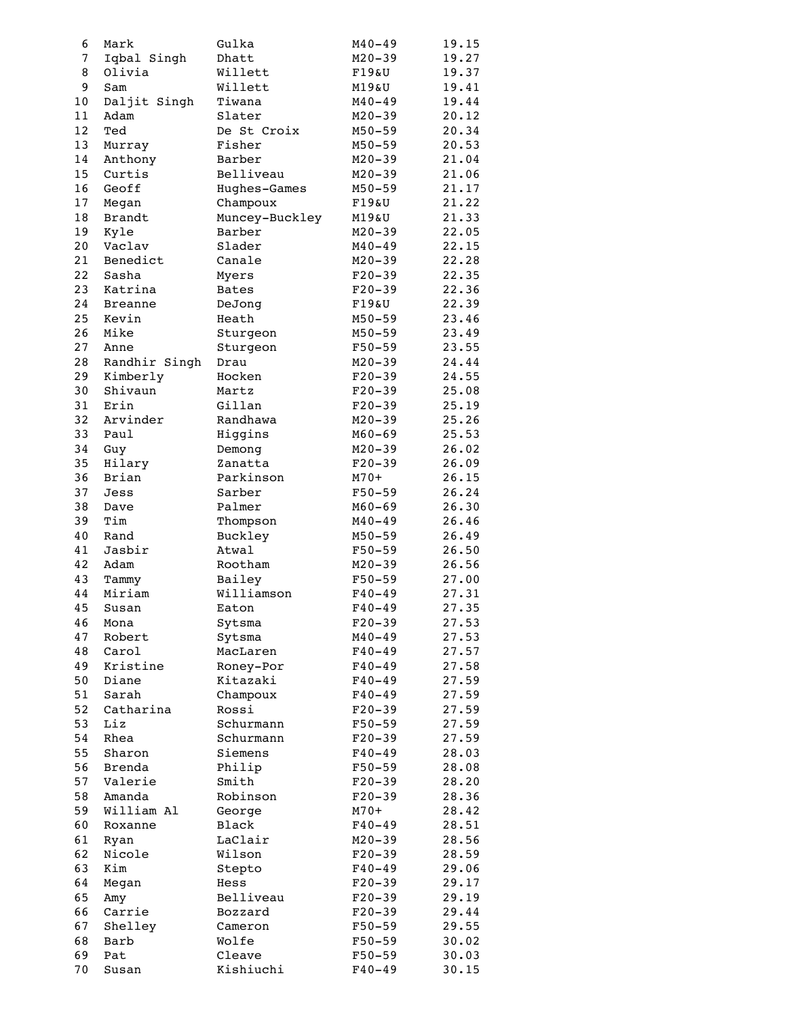| 6        | Mark                    | Gulka            | $M40 - 49$               | 19.15          |
|----------|-------------------------|------------------|--------------------------|----------------|
| 7        | Iqbal Singh             | Dhatt            | $M20 - 39$               | 19.27          |
| 8        | Olivia                  | Willett          | $F19\&U$                 | 19.37          |
| 9        | Sam                     | Willett          | M19&U                    | 19.41          |
| 10       | Daljit Singh            | Tiwana           | $M40 - 49$               | 19.44          |
| 11       | Adam                    | Slater           | M20-39                   | 20.12          |
| 12       | Ted                     | De St Croix      | $M50 - 59$               | 20.34          |
| 13       | Murray                  | Fisher           | M50-59                   | 20.53          |
| 14       | Anthony                 | Barber           | $M20 - 39$               | 21.04          |
| 15       | Curtis                  | Belliveau        | M20-39                   | 21.06          |
| 16       | Geoff                   | Hughes-Games     | $M50 - 59$               | 21.17          |
| 17       | Megan                   | Champoux         | $F19\&U$                 | 21.22          |
| 18       | <b>Brandt</b>           | Muncey-Buckley   | M19&U                    | 21.33          |
| 19       | Kyle                    | Barber           | M20-39                   | 22.05          |
| 20       | Vaclav                  | Slader           | M40-49                   | 22.15          |
| 21       | Benedict                | Canale           | M20-39                   | 22.28          |
| 22       | Sasha                   | Myers            | $F20-39$                 | 22.35          |
| 23       | Katrina                 | <b>Bates</b>     | $F20-39$                 | 22.36          |
| 24       | <b>Breanne</b><br>Kevin | DeJong           | $F19\&U$                 | 22.39          |
| 25<br>26 | Mike                    | Heath            | $M50 - 59$               | 23.46          |
| 27       | Anne                    | Sturgeon         | $M50 - 59$               | 23.49          |
| 28       | Randhir Singh           | Sturgeon<br>Drau | $F50 - 59$<br>$M20 - 39$ | 23.55<br>24.44 |
| 29       | Kimberly                | Hocken           | $F20-39$                 | 24.55          |
| 30       | Shivaun                 | Martz            | $F20-39$                 | 25.08          |
| 31       | Erin                    | Gillan           | $F20-39$                 | 25.19          |
| 32       | Arvinder                | Randhawa         | $M20 - 39$               | 25.26          |
| 33       | Paul                    | Higgins          | $M60 - 69$               | 25.53          |
| 34       | Guy                     | Demong           | $M20 - 39$               | 26.02          |
| 35       | Hilary                  | Zanatta          | $F20-39$                 | 26.09          |
| 36       | Brian                   | Parkinson        | $M70+$                   | 26.15          |
| 37       | Jess                    | Sarber           | F50-59                   | 26.24          |
| 38       | Dave                    | Palmer           | $M60 - 69$               | 26.30          |
| 39       | Tim                     | Thompson         | $M40 - 49$               | 26.46          |
| 40       | Rand                    | Buckley          | $M50 - 59$               | 26.49          |
| 41       | Jasbir                  | Atwal            | $F50 - 59$               | 26.50          |
| 42       | Adam                    | Rootham          | $M20 - 39$               | 26.56          |
| 43       | Tammy                   | Bailey           | $F50 - 59$               | 27.00          |
| 44       | Miriam                  | Williamson       | $F40 - 49$               | 27.31          |
| 45       | Susan                   | Eaton            | $F40 - 49$               | 27.35          |
| 46       | Mona                    | Sytsma           | $F20 - 39$               | 27.53          |
| 47       | Robert                  | Sytsma           | $M40 - 49$               | 27.53          |
| 48       | Carol                   | MacLaren         | $F40 - 49$               | 27.57          |
| 49       | Kristine                | Roney-Por        | $F40 - 49$               | 27.58          |
| 50       | Diane                   | Kitazaki         | $F40 - 49$               | 27.59          |
| 51       | Sarah                   | Champoux         | $F40 - 49$               | 27.59          |
| 52       | Catharina               | Rossi            | $F20-39$                 | 27.59          |
| 53       | Liz                     | Schurmann        | $F50 - 59$               | 27.59          |
| 54       | Rhea                    | Schurmann        | $F20 - 39$               | 27.59          |
| 55       | Sharon                  | Siemens          | $F40 - 49$               | 28.03          |
| 56       | <b>Brenda</b>           | Philip           | $F50 - 59$               | 28.08          |
| 57       | Valerie                 | Smith            | $F20-39$                 | 28.20          |
| 58       | Amanda                  | Robinson         | $F20-39$                 | 28.36          |
| 59       | William Al              | George           | $M70+$                   | 28.42          |
| 60       | Roxanne                 | Black            | $F40 - 49$               | 28.51          |
| 61<br>62 | Ryan                    | LaClair          | $M20 - 39$               | 28.56          |
| 63       | Nicole                  | Wilson           | $F20 - 39$               | 28.59          |
| 64       | Kim                     | Stepto<br>Hess   | $F40 - 49$<br>$F20-39$   | 29.06<br>29.17 |
| 65       | Megan<br>Amy            | Belliveau        | $F20-39$                 | 29.19          |
| 66       | Carrie                  | Bozzard          | $F20-39$                 | 29.44          |
| 67       | Shelley                 | Cameron          | F50-59                   | 29.55          |
| 68       | Barb                    | Wolfe            | F50-59                   | 30.02          |
| 69       | Pat                     | Cleave           | F50-59                   | 30.03          |
| 70       | Susan                   | Kishiuchi        | $F40 - 49$               | 30.15          |
|          |                         |                  |                          |                |